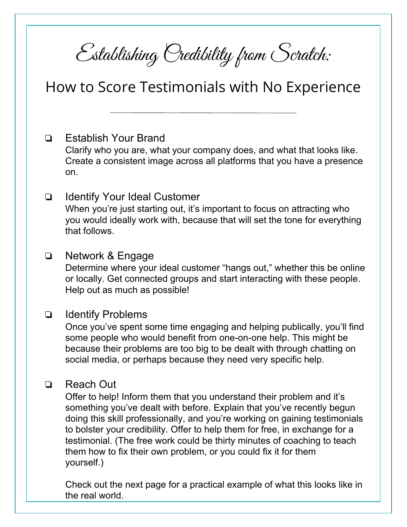Establishing Credibility from Scratch:

# How to Score Testimonials with No Experience

# ❏ Establish Your Brand

Clarify who you are, what your company does, and what that looks like. Create a consistent image across all platforms that you have a presence on.

## ❏ Identify Your Ideal Customer

When you're just starting out, it's important to focus on attracting who you would ideally work with, because that will set the tone for everything that follows.

### ❏ Network & Engage

Determine where your ideal customer "hangs out," whether this be online or locally. Get connected groups and start interacting with these people. Help out as much as possible!

#### ❏ Identify Problems

Once you've spent some time engaging and helping publically, you'll find some people who would benefit from one-on-one help. This might be because their problems are too big to be dealt with through chatting on social media, or perhaps because they need very specific help.

### ❏ Reach Out

Offer to help! Inform them that you understand their problem and it's something you've dealt with before. Explain that you've recently begun doing this skill professionally, and you're working on gaining testimonials to bolster your credibility. Offer to help them for free, in exchange for a testimonial. (The free work could be thirty minutes of coaching to teach them how to fix their own problem, or you could fix it for them yourself.)

Check out the next page for a practical example of what this looks like in the real world.